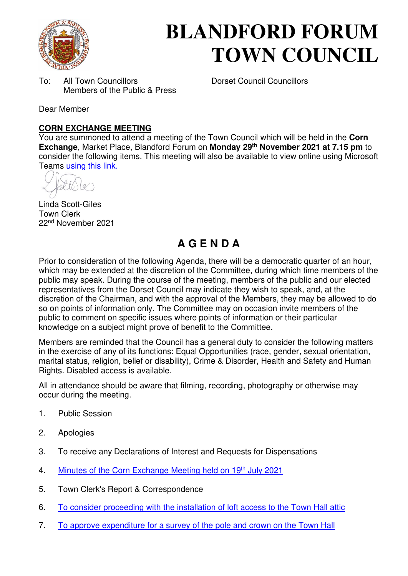

# **BLANDFORD FORUM TOWN COUNCIL**

To: All Town Councillors Dorset Council Councillors Members of the Public & Press

Dear Member

#### **CORN EXCHANGE MEETING**

You are summoned to attend a meeting of the Town Council which will be held in the **Corn Exchange**, Market Place, Blandford Forum on **Monday 29th November 2021 at 7.15 pm** to consider the following items. This meeting will also be available to view online using Microsoft Teams [using this link.](https://teams.microsoft.com/l/meetup-join/19%3a2cb1b1f9de074efdad40308940ab9ba0%40thread.tacv2/1627297855694?context=%7b%22Tid%22%3a%223cd8f2fb-4c45-4162-86f1-fb87b5f6a138%22%2c%22Oid%22%3a%2265e5950c-ab1c-41cc-9090-4a755c733f54%22%7d)

Linda Scott-Giles Town Clerk 22nd November 2021

# **A G E N D A**

Prior to consideration of the following Agenda, there will be a democratic quarter of an hour, which may be extended at the discretion of the Committee, during which time members of the public may speak. During the course of the meeting, members of the public and our elected representatives from the Dorset Council may indicate they wish to speak, and, at the discretion of the Chairman, and with the approval of the Members, they may be allowed to do so on points of information only. The Committee may on occasion invite members of the public to comment on specific issues where points of information or their particular knowledge on a subject might prove of benefit to the Committee.

Members are reminded that the Council has a general duty to consider the following matters in the exercise of any of its functions: Equal Opportunities (race, gender, sexual orientation, marital status, religion, belief or disability), Crime & Disorder, Health and Safety and Human Rights. Disabled access is available.

All in attendance should be aware that filming, recording, photography or otherwise may occur during the meeting.

- 1. Public Session
- 2. Apologies
- 3. To receive any Declarations of Interest and Requests for Dispensations
- 4. [Minutes of the Corn Exchange Meeting held on 19](https://blandfordforum-tc.gov.uk/wp-content/uploads/2021/07/190721.pdf)<sup>th</sup> July 2021
- 5. Town Clerk's Report & Correspondence
- 6. [To consider proceeding with the installation of loft access to the Town Hall attic](#page-2-0)
- 7. [To approve expenditure for a survey of the pole and crown on the Town Hall](#page-3-0)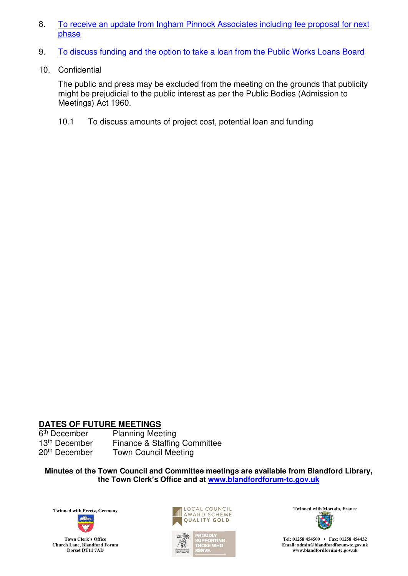- 8. [To receive an update from Ingham Pinnock Associates including fee proposal for next](#page-4-0)  [phase](#page-4-0)
- 9. [To discuss funding and the option to take a loan from the Public Works Loans Board](#page-5-0)
- 10. Confidential

The public and press may be excluded from the meeting on the grounds that publicity might be prejudicial to the public interest as per the Public Bodies (Admission to Meetings) Act 1960.

10.1 To discuss amounts of project cost, potential loan and funding

#### **DATES OF FUTURE MEETINGS**

6<sup>th</sup> December<br>13<sup>th</sup> December

Planning Meeting 13<sup>th</sup> December Finance & Staffing Committee<br>20<sup>th</sup> December Town Council Meeting **Town Council Meeting** 

**Minutes of the Town Council and Committee meetings are available from Blandford Library, the Town Clerk's Office and at [www.blandfordforum-tc.gov.uk](http://www.blandfordforum-tc.gov.uk/)**



**Town Clerk's Office Church Lane, Blandford Forum Dorset DT11 7AD**





**Tel: 01258 454500 • Fax: 01258 454432 Email: admin@blandfordforum-tc.gov.uk [www.blandfordforum-tc.gov.uk](http://www.blandfordforum-tc.gov.uk/)**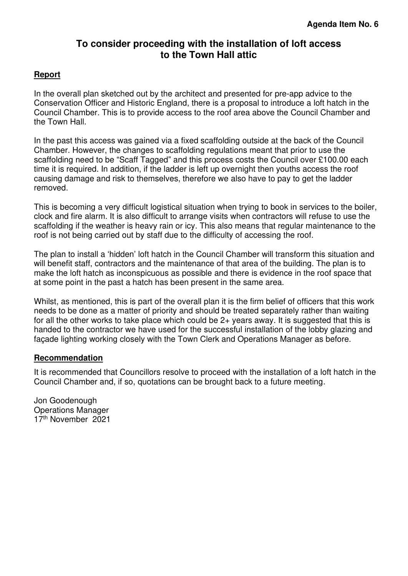# **To consider proceeding with the installation of loft access to the Town Hall attic**

#### <span id="page-2-0"></span>**Report**

In the overall plan sketched out by the architect and presented for pre-app advice to the Conservation Officer and Historic England, there is a proposal to introduce a loft hatch in the Council Chamber. This is to provide access to the roof area above the Council Chamber and the Town Hall.

In the past this access was gained via a fixed scaffolding outside at the back of the Council Chamber. However, the changes to scaffolding regulations meant that prior to use the scaffolding need to be "Scaff Tagged" and this process costs the Council over £100.00 each time it is required. In addition, if the ladder is left up overnight then youths access the roof causing damage and risk to themselves, therefore we also have to pay to get the ladder removed.

This is becoming a very difficult logistical situation when trying to book in services to the boiler, clock and fire alarm. It is also difficult to arrange visits when contractors will refuse to use the scaffolding if the weather is heavy rain or icy. This also means that regular maintenance to the roof is not being carried out by staff due to the difficulty of accessing the roof.

The plan to install a 'hidden' loft hatch in the Council Chamber will transform this situation and will benefit staff, contractors and the maintenance of that area of the building. The plan is to make the loft hatch as inconspicuous as possible and there is evidence in the roof space that at some point in the past a hatch has been present in the same area.

Whilst, as mentioned, this is part of the overall plan it is the firm belief of officers that this work needs to be done as a matter of priority and should be treated separately rather than waiting for all the other works to take place which could be 2+ years away. It is suggested that this is handed to the contractor we have used for the successful installation of the lobby glazing and façade lighting working closely with the Town Clerk and Operations Manager as before.

#### **Recommendation**

It is recommended that Councillors resolve to proceed with the installation of a loft hatch in the Council Chamber and, if so, quotations can be brought back to a future meeting.

Jon Goodenough Operations Manager 17th November 2021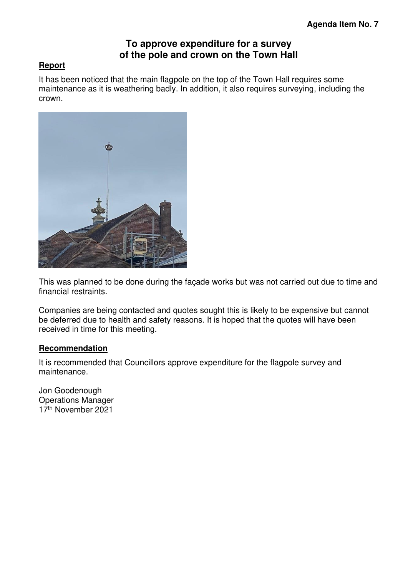## **To approve expenditure for a survey of the pole and crown on the Town Hall**

#### <span id="page-3-0"></span>**Report**

It has been noticed that the main flagpole on the top of the Town Hall requires some maintenance as it is weathering badly. In addition, it also requires surveying, including the crown.



This was planned to be done during the façade works but was not carried out due to time and financial restraints.

Companies are being contacted and quotes sought this is likely to be expensive but cannot be deferred due to health and safety reasons. It is hoped that the quotes will have been received in time for this meeting.

#### **Recommendation**

It is recommended that Councillors approve expenditure for the flagpole survey and maintenance.

Jon Goodenough Operations Manager 17th November 2021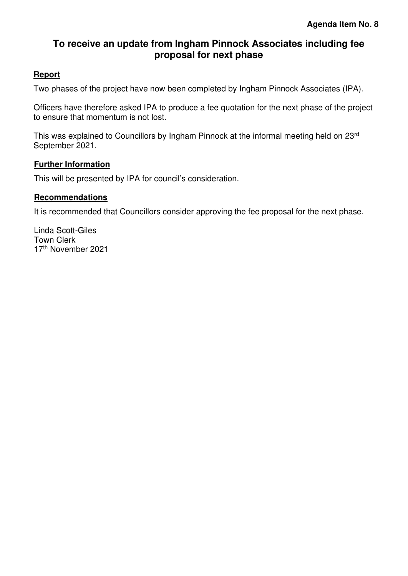# <span id="page-4-0"></span>**To receive an update from Ingham Pinnock Associates including fee proposal for next phase**

#### **Report**

Two phases of the project have now been completed by Ingham Pinnock Associates (IPA).

Officers have therefore asked IPA to produce a fee quotation for the next phase of the project to ensure that momentum is not lost.

This was explained to Councillors by Ingham Pinnock at the informal meeting held on 23rd September 2021.

#### **Further Information**

This will be presented by IPA for council's consideration.

#### **Recommendations**

It is recommended that Councillors consider approving the fee proposal for the next phase.

Linda Scott-Giles Town Clerk 17th November 2021